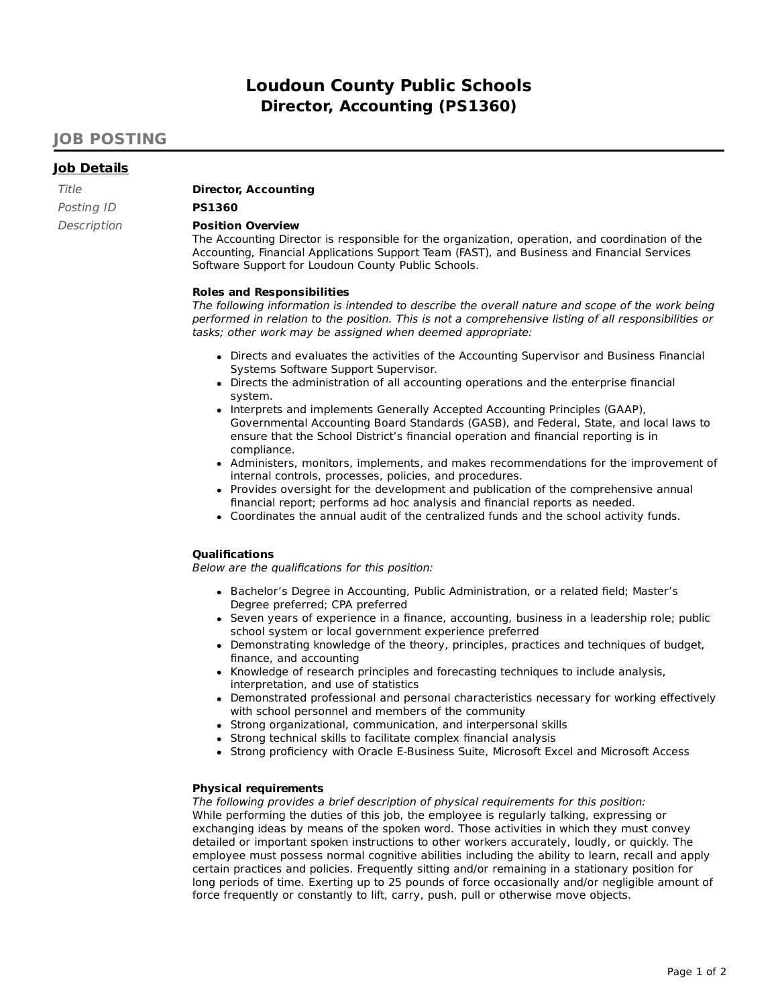# **Loudoun County Public Schools Director, Accounting (PS1360)**

# **JOB POSTING**

## **Job Details**

| Title       | D |
|-------------|---|
| Posting ID  | Р |
| Description | Р |
|             |   |

Title **Director, Accounting**

# Posting ID **PS1360**

### **Position Overview**

The Accounting Director is responsible for the organization, operation, and coordination of the Accounting, Financial Applications Support Team (FAST), and Business and Financial Services Software Support for Loudoun County Public Schools.

#### **Roles and Responsibilities**

The following information is intended to describe the overall nature and scope of the work being performed in relation to the position. This is not a comprehensive listing of all responsibilities or tasks; other work may be assigned when deemed appropriate:

- Directs and evaluates the activities of the Accounting Supervisor and Business Financial Systems Software Support Supervisor.
- Directs the administration of all accounting operations and the enterprise financial system.
- Interprets and implements Generally Accepted Accounting Principles (GAAP), Governmental Accounting Board Standards (GASB), and Federal, State, and local laws to ensure that the School District's financial operation and financial reporting is in compliance.
- Administers, monitors, implements, and makes recommendations for the improvement of internal controls, processes, policies, and procedures.
- Provides oversight for the development and publication of the comprehensive annual financial report; performs ad hoc analysis and financial reports as needed.
- Coordinates the annual audit of the centralized funds and the school activity funds.

#### **Qualifications**

Below are the qualifications for this position:

- Bachelor's Degree in Accounting, Public Administration, or a related field; Master's Degree preferred; CPA preferred
- Seven years of experience in a finance, accounting, business in a leadership role; public school system or local government experience preferred
- Demonstrating knowledge of the theory, principles, practices and techniques of budget, finance, and accounting
- Knowledge of research principles and forecasting techniques to include analysis, interpretation, and use of statistics
- Demonstrated professional and personal characteristics necessary for working effectively with school personnel and members of the community
- Strong organizational, communication, and interpersonal skills
- Strong technical skills to facilitate complex financial analysis
- Strong proficiency with Oracle E-Business Suite, Microsoft Excel and Microsoft Access

#### **Physical requirements**

#### The following provides a brief description of physical requirements for this position: While performing the duties of this job, the employee is regularly talking, expressing or exchanging ideas by means of the spoken word. Those activities in which they must convey detailed or important spoken instructions to other workers accurately, loudly, or quickly. The employee must possess normal cognitive abilities including the ability to learn, recall and apply certain practices and policies. Frequently sitting and/or remaining in a stationary position for long periods of time. Exerting up to 25 pounds of force occasionally and/or negligible amount of force frequently or constantly to lift, carry, push, pull or otherwise move objects.